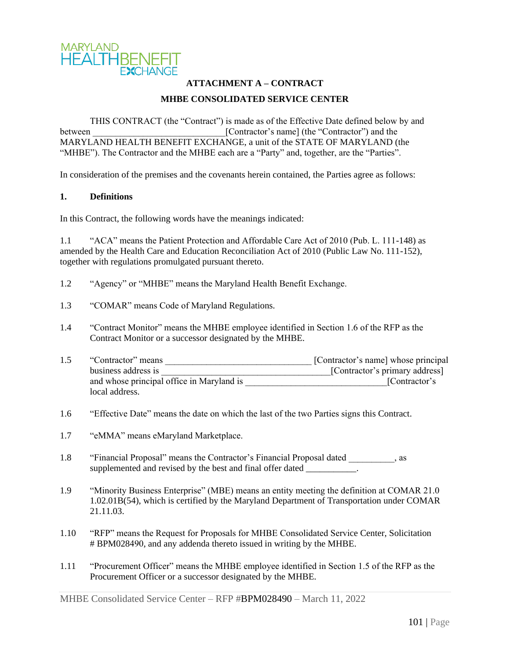

# **ATTACHMENT A – CONTRACT MHBE CONSOLIDATED SERVICE CENTER**

THIS CONTRACT (the "Contract") is made as of the Effective Date defined below by and between [Contractor's name] (the "Contractor") and the MARYLAND HEALTH BENEFIT EXCHANGE, a unit of the STATE OF MARYLAND (the "MHBE"). The Contractor and the MHBE each are a "Party" and, together, are the "Parties".

In consideration of the premises and the covenants herein contained, the Parties agree as follows:

#### **1. Definitions**

In this Contract, the following words have the meanings indicated:

1.1 "ACA" means the Patient Protection and Affordable Care Act of 2010 (Pub. L. 111-148) as amended by the Health Care and Education Reconciliation Act of 2010 (Public Law No. 111-152), together with regulations promulgated pursuant thereto.

- 1.2 "Agency" or "MHBE" means the Maryland Health Benefit Exchange.
- 1.3 "COMAR" means Code of Maryland Regulations.
- 1.4 "Contract Monitor" means the MHBE employee identified in Section 1.6 of the RFP as the Contract Monitor or a successor designated by the MHBE.
- 1.5 "Contractor" means \_\_\_\_\_\_\_\_\_\_\_\_\_\_\_\_\_\_\_\_\_\_\_\_\_\_\_\_\_\_\_\_ [Contractor's name] whose principal business address is <br>and whose principal office in Maryland is [Contractor's primary address]<br>[Contractor's primary address] and whose principal office in Maryland is local address.
- 1.6 "Effective Date" means the date on which the last of the two Parties signs this Contract.
- 1.7 "eMMA" means eMaryland Marketplace.
- 1.8 "Financial Proposal" means the Contractor's Financial Proposal dated \_\_\_\_\_\_\_\_\_\_, as supplemented and revised by the best and final offer dated
- 1.9 "Minority Business Enterprise" (MBE) means an entity meeting the definition at COMAR 21.0 1.02.01B(54), which is certified by the Maryland Department of Transportation under COMAR 21.11.03.
- 1.10 "RFP" means the Request for Proposals for MHBE Consolidated Service Center, Solicitation # BPM028490, and any addenda thereto issued in writing by the MHBE.
- 1.11 "Procurement Officer" means the MHBE employee identified in Section 1.5 of the RFP as the Procurement Officer or a successor designated by the MHBE.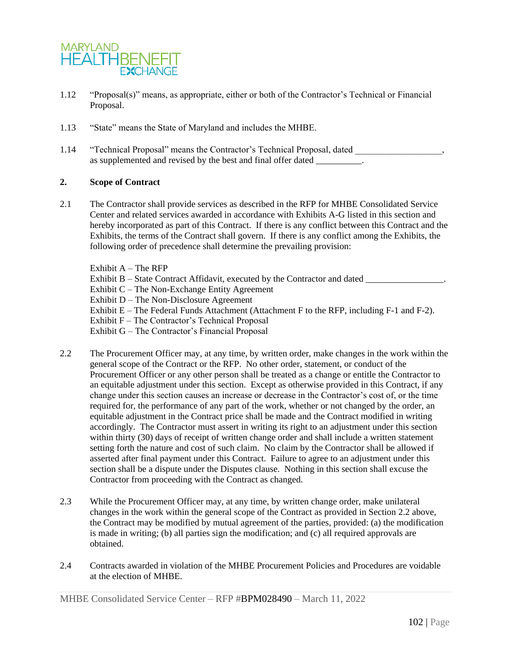

- 1.12 "Proposal(s)" means, as appropriate, either or both of the Contractor's Technical or Financial Proposal.
- 1.13 "State" means the State of Maryland and includes the MHBE.
- 1.14 "Technical Proposal" means the Contractor's Technical Proposal, dated as supplemented and revised by the best and final offer dated

## **2. Scope of Contract**

2.1 The Contractor shall provide services as described in the RFP for MHBE Consolidated Service Center and related services awarded in accordance with Exhibits A-G listed in this section and hereby incorporated as part of this Contract. If there is any conflict between this Contract and the Exhibits, the terms of the Contract shall govern. If there is any conflict among the Exhibits, the following order of precedence shall determine the prevailing provision:

Exhibit  $A$  – The RFP Exhibit B – State Contract Affidavit, executed by the Contractor and dated Exhibit C – The Non-Exchange Entity Agreement Exhibit D – The Non-Disclosure Agreement Exhibit E – The Federal Funds Attachment (Attachment F to the RFP, including F-1 and F-2). Exhibit F – The Contractor's Technical Proposal Exhibit G – The Contractor's Financial Proposal

- 2.2 The Procurement Officer may, at any time, by written order, make changes in the work within the general scope of the Contract or the RFP. No other order, statement, or conduct of the Procurement Officer or any other person shall be treated as a change or entitle the Contractor to an equitable adjustment under this section. Except as otherwise provided in this Contract, if any change under this section causes an increase or decrease in the Contractor's cost of, or the time required for, the performance of any part of the work, whether or not changed by the order, an equitable adjustment in the Contract price shall be made and the Contract modified in writing accordingly. The Contractor must assert in writing its right to an adjustment under this section within thirty (30) days of receipt of written change order and shall include a written statement setting forth the nature and cost of such claim. No claim by the Contractor shall be allowed if asserted after final payment under this Contract. Failure to agree to an adjustment under this section shall be a dispute under the Disputes clause. Nothing in this section shall excuse the Contractor from proceeding with the Contract as changed.
- 2.3 While the Procurement Officer may, at any time, by written change order, make unilateral changes in the work within the general scope of the Contract as provided in Section 2.2 above, the Contract may be modified by mutual agreement of the parties, provided: (a) the modification is made in writing; (b) all parties sign the modification; and (c) all required approvals are obtained.
- 2.4 Contracts awarded in violation of the MHBE Procurement Policies and Procedures are voidable at the election of MHBE.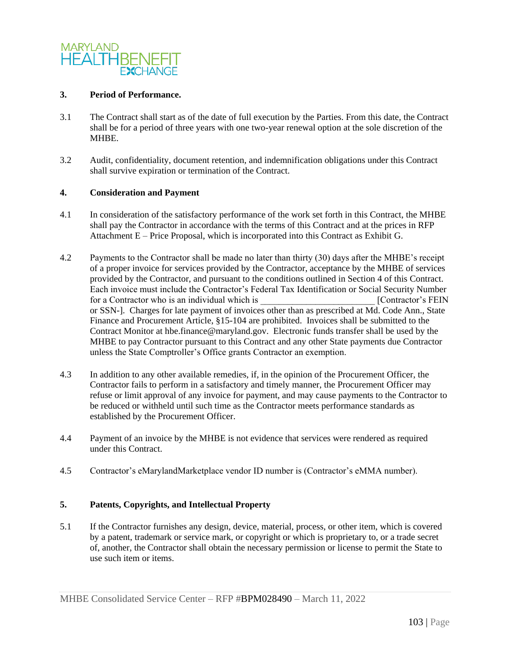

### **3. Period of Performance.**

- 3.1 The Contract shall start as of the date of full execution by the Parties. From this date, the Contract shall be for a period of three years with one two-year renewal option at the sole discretion of the MHBE.
- 3.2 Audit, confidentiality, document retention, and indemnification obligations under this Contract shall survive expiration or termination of the Contract.

## **4. Consideration and Payment**

- 4.1 In consideration of the satisfactory performance of the work set forth in this Contract, the MHBE shall pay the Contractor in accordance with the terms of this Contract and at the prices in RFP Attachment E – Price Proposal, which is incorporated into this Contract as Exhibit G.
- 4.2 Payments to the Contractor shall be made no later than thirty (30) days after the MHBE's receipt of a proper invoice for services provided by the Contractor, acceptance by the MHBE of services provided by the Contractor, and pursuant to the conditions outlined in Section 4 of this Contract. Each invoice must include the Contractor's Federal Tax Identification or Social Security Number<br>for a Contractor who is an individual which is [Contractor's FEIN] for a Contractor who is an individual which is or SSN-]. Charges for late payment of invoices other than as prescribed at Md. Code Ann., State Finance and Procurement Article, §15-104 are prohibited. Invoices shall be submitted to the Contract Monitor at hbe.finance@maryland.gov. Electronic funds transfer shall be used by the MHBE to pay Contractor pursuant to this Contract and any other State payments due Contractor unless the State Comptroller's Office grants Contractor an exemption.
- 4.3 In addition to any other available remedies, if, in the opinion of the Procurement Officer, the Contractor fails to perform in a satisfactory and timely manner, the Procurement Officer may refuse or limit approval of any invoice for payment, and may cause payments to the Contractor to be reduced or withheld until such time as the Contractor meets performance standards as established by the Procurement Officer.
- 4.4 Payment of an invoice by the MHBE is not evidence that services were rendered as required under this Contract.
- 4.5 Contractor's eMarylandMarketplace vendor ID number is (Contractor's eMMA number).

## **5. Patents, Copyrights, and Intellectual Property**

5.1 If the Contractor furnishes any design, device, material, process, or other item, which is covered by a patent, trademark or service mark, or copyright or which is proprietary to, or a trade secret of, another, the Contractor shall obtain the necessary permission or license to permit the State to use such item or items.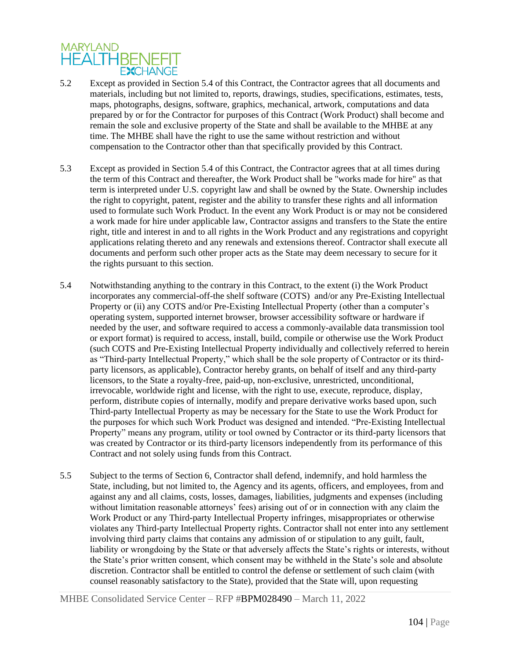# **MARYLAND HEALTHBENEFIT EXCHANGE**

- 5.2 Except as provided in Section 5.4 of this Contract, the Contractor agrees that all documents and materials, including but not limited to, reports, drawings, studies, specifications, estimates, tests, maps, photographs, designs, software, graphics, mechanical, artwork, computations and data prepared by or for the Contractor for purposes of this Contract (Work Product) shall become and remain the sole and exclusive property of the State and shall be available to the MHBE at any time. The MHBE shall have the right to use the same without restriction and without compensation to the Contractor other than that specifically provided by this Contract.
- 5.3 Except as provided in Section 5.4 of this Contract, the Contractor agrees that at all times during the term of this Contract and thereafter, the Work Product shall be "works made for hire" as that term is interpreted under U.S. copyright law and shall be owned by the State. Ownership includes the right to copyright, patent, register and the ability to transfer these rights and all information used to formulate such Work Product. In the event any Work Product is or may not be considered a work made for hire under applicable law, Contractor assigns and transfers to the State the entire right, title and interest in and to all rights in the Work Product and any registrations and copyright applications relating thereto and any renewals and extensions thereof. Contractor shall execute all documents and perform such other proper acts as the State may deem necessary to secure for it the rights pursuant to this section.
- 5.4 Notwithstanding anything to the contrary in this Contract, to the extent (i) the Work Product incorporates any commercial-off-the shelf software (COTS) and/or any Pre-Existing Intellectual Property or (ii) any COTS and/or Pre-Existing Intellectual Property (other than a computer's operating system, supported internet browser, browser accessibility software or hardware if needed by the user, and software required to access a commonly-available data transmission tool or export format) is required to access, install, build, compile or otherwise use the Work Product (such COTS and Pre-Existing Intellectual Property individually and collectively referred to herein as "Third-party Intellectual Property," which shall be the sole property of Contractor or its thirdparty licensors, as applicable), Contractor hereby grants, on behalf of itself and any third-party licensors, to the State a royalty-free, paid-up, non-exclusive, unrestricted, unconditional, irrevocable, worldwide right and license, with the right to use, execute, reproduce, display, perform, distribute copies of internally, modify and prepare derivative works based upon, such Third-party Intellectual Property as may be necessary for the State to use the Work Product for the purposes for which such Work Product was designed and intended. "Pre-Existing Intellectual Property" means any program, utility or tool owned by Contractor or its third-party licensors that was created by Contractor or its third-party licensors independently from its performance of this Contract and not solely using funds from this Contract.
- 5.5 Subject to the terms of Section 6, Contractor shall defend, indemnify, and hold harmless the State, including, but not limited to, the Agency and its agents, officers, and employees, from and against any and all claims, costs, losses, damages, liabilities, judgments and expenses (including without limitation reasonable attorneys' fees) arising out of or in connection with any claim the Work Product or any Third-party Intellectual Property infringes, misappropriates or otherwise violates any Third-party Intellectual Property rights. Contractor shall not enter into any settlement involving third party claims that contains any admission of or stipulation to any guilt, fault, liability or wrongdoing by the State or that adversely affects the State's rights or interests, without the State's prior written consent, which consent may be withheld in the State's sole and absolute discretion. Contractor shall be entitled to control the defense or settlement of such claim (with counsel reasonably satisfactory to the State), provided that the State will, upon requesting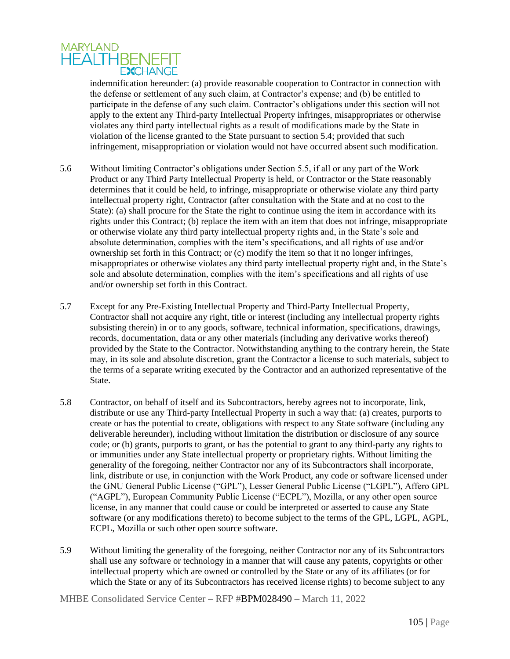

indemnification hereunder: (a) provide reasonable cooperation to Contractor in connection with the defense or settlement of any such claim, at Contractor's expense; and (b) be entitled to participate in the defense of any such claim. Contractor's obligations under this section will not apply to the extent any Third-party Intellectual Property infringes, misappropriates or otherwise violates any third party intellectual rights as a result of modifications made by the State in violation of the license granted to the State pursuant to section 5.4; provided that such infringement, misappropriation or violation would not have occurred absent such modification.

- 5.6 Without limiting Contractor's obligations under Section 5.5, if all or any part of the Work Product or any Third Party Intellectual Property is held, or Contractor or the State reasonably determines that it could be held, to infringe, misappropriate or otherwise violate any third party intellectual property right, Contractor (after consultation with the State and at no cost to the State): (a) shall procure for the State the right to continue using the item in accordance with its rights under this Contract; (b) replace the item with an item that does not infringe, misappropriate or otherwise violate any third party intellectual property rights and, in the State's sole and absolute determination, complies with the item's specifications, and all rights of use and/or ownership set forth in this Contract; or (c) modify the item so that it no longer infringes, misappropriates or otherwise violates any third party intellectual property right and, in the State's sole and absolute determination, complies with the item's specifications and all rights of use and/or ownership set forth in this Contract.
- 5.7 Except for any Pre-Existing Intellectual Property and Third-Party Intellectual Property, Contractor shall not acquire any right, title or interest (including any intellectual property rights subsisting therein) in or to any goods, software, technical information, specifications, drawings, records, documentation, data or any other materials (including any derivative works thereof) provided by the State to the Contractor. Notwithstanding anything to the contrary herein, the State may, in its sole and absolute discretion, grant the Contractor a license to such materials, subject to the terms of a separate writing executed by the Contractor and an authorized representative of the State.
- 5.8 Contractor, on behalf of itself and its Subcontractors, hereby agrees not to incorporate, link, distribute or use any Third-party Intellectual Property in such a way that: (a) creates, purports to create or has the potential to create, obligations with respect to any State software (including any deliverable hereunder), including without limitation the distribution or disclosure of any source code; or (b) grants, purports to grant, or has the potential to grant to any third-party any rights to or immunities under any State intellectual property or proprietary rights. Without limiting the generality of the foregoing, neither Contractor nor any of its Subcontractors shall incorporate, link, distribute or use, in conjunction with the Work Product, any code or software licensed under the GNU General Public License ("GPL"), Lesser General Public License ("LGPL"), Affero GPL ("AGPL"), European Community Public License ("ECPL"), Mozilla, or any other open source license, in any manner that could cause or could be interpreted or asserted to cause any State software (or any modifications thereto) to become subject to the terms of the GPL, LGPL, AGPL, ECPL, Mozilla or such other open source software.
- 5.9 Without limiting the generality of the foregoing, neither Contractor nor any of its Subcontractors shall use any software or technology in a manner that will cause any patents, copyrights or other intellectual property which are owned or controlled by the State or any of its affiliates (or for which the State or any of its Subcontractors has received license rights) to become subject to any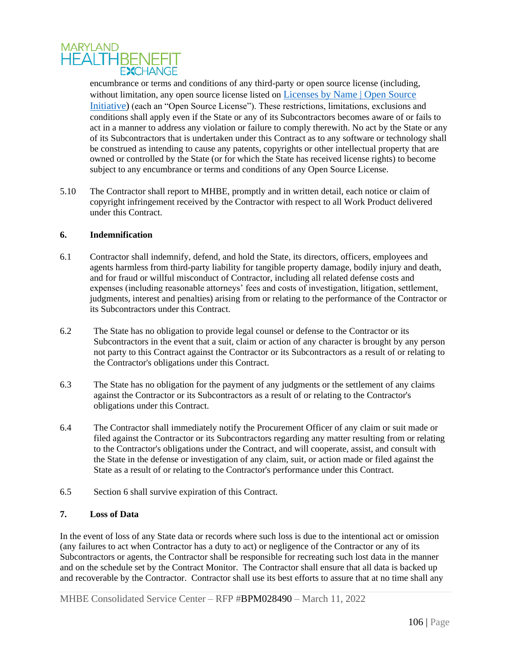

encumbrance or terms and conditions of any third-party or open source license (including, without limitation, any open source license listed on *Licenses* by Name | Open Source [Initiative\)](https://opensource.org/licenses/alphabetical) (each an "Open Source License"). These restrictions, limitations, exclusions and conditions shall apply even if the State or any of its Subcontractors becomes aware of or fails to act in a manner to address any violation or failure to comply therewith. No act by the State or any of its Subcontractors that is undertaken under this Contract as to any software or technology shall be construed as intending to cause any patents, copyrights or other intellectual property that are owned or controlled by the State (or for which the State has received license rights) to become subject to any encumbrance or terms and conditions of any Open Source License.

5.10 The Contractor shall report to MHBE, promptly and in written detail, each notice or claim of copyright infringement received by the Contractor with respect to all Work Product delivered under this Contract.

## **6. Indemnification**

- 6.1 Contractor shall indemnify, defend, and hold the State, its directors, officers, employees and agents harmless from third-party liability for tangible property damage, bodily injury and death, and for fraud or willful misconduct of Contractor, including all related defense costs and expenses (including reasonable attorneys' fees and costs of investigation, litigation, settlement, judgments, interest and penalties) arising from or relating to the performance of the Contractor or its Subcontractors under this Contract.
- 6.2 The State has no obligation to provide legal counsel or defense to the Contractor or its Subcontractors in the event that a suit, claim or action of any character is brought by any person not party to this Contract against the Contractor or its Subcontractors as a result of or relating to the Contractor's obligations under this Contract.
- 6.3 The State has no obligation for the payment of any judgments or the settlement of any claims against the Contractor or its Subcontractors as a result of or relating to the Contractor's obligations under this Contract.
- 6.4 The Contractor shall immediately notify the Procurement Officer of any claim or suit made or filed against the Contractor or its Subcontractors regarding any matter resulting from or relating to the Contractor's obligations under the Contract, and will cooperate, assist, and consult with the State in the defense or investigation of any claim, suit, or action made or filed against the State as a result of or relating to the Contractor's performance under this Contract.
- 6.5 Section 6 shall survive expiration of this Contract.

## **7. Loss of Data**

In the event of loss of any State data or records where such loss is due to the intentional act or omission (any failures to act when Contractor has a duty to act) or negligence of the Contractor or any of its Subcontractors or agents, the Contractor shall be responsible for recreating such lost data in the manner and on the schedule set by the Contract Monitor. The Contractor shall ensure that all data is backed up and recoverable by the Contractor. Contractor shall use its best efforts to assure that at no time shall any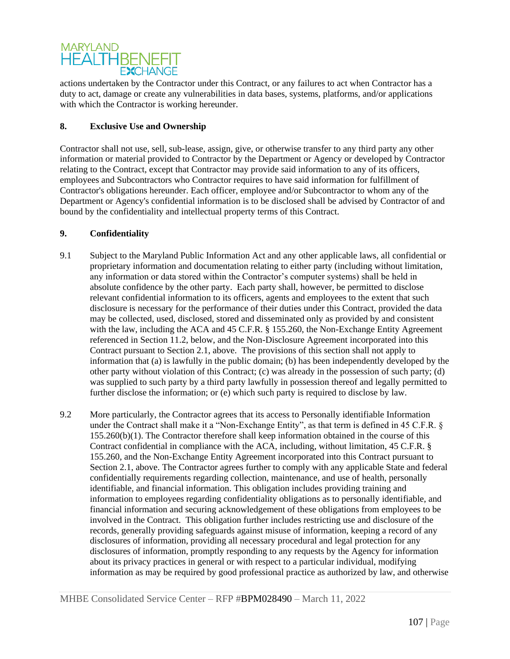# **MARYLAND HEALTHBENEFIT EXCHANGE**

actions undertaken by the Contractor under this Contract, or any failures to act when Contractor has a duty to act, damage or create any vulnerabilities in data bases, systems, platforms, and/or applications with which the Contractor is working hereunder.

# **8. Exclusive Use and Ownership**

Contractor shall not use, sell, sub-lease, assign, give, or otherwise transfer to any third party any other information or material provided to Contractor by the Department or Agency or developed by Contractor relating to the Contract, except that Contractor may provide said information to any of its officers, employees and Subcontractors who Contractor requires to have said information for fulfillment of Contractor's obligations hereunder. Each officer, employee and/or Subcontractor to whom any of the Department or Agency's confidential information is to be disclosed shall be advised by Contractor of and bound by the confidentiality and intellectual property terms of this Contract.

# **9. Confidentiality**

- 9.1 Subject to the Maryland Public Information Act and any other applicable laws, all confidential or proprietary information and documentation relating to either party (including without limitation, any information or data stored within the Contractor's computer systems) shall be held in absolute confidence by the other party. Each party shall, however, be permitted to disclose relevant confidential information to its officers, agents and employees to the extent that such disclosure is necessary for the performance of their duties under this Contract, provided the data may be collected, used, disclosed, stored and disseminated only as provided by and consistent with the law, including the ACA and 45 C.F.R. § 155.260, the Non-Exchange Entity Agreement referenced in Section 11.2, below, and the Non-Disclosure Agreement incorporated into this Contract pursuant to Section 2.1, above. The provisions of this section shall not apply to information that (a) is lawfully in the public domain; (b) has been independently developed by the other party without violation of this Contract; (c) was already in the possession of such party; (d) was supplied to such party by a third party lawfully in possession thereof and legally permitted to further disclose the information; or (e) which such party is required to disclose by law.
- 9.2 More particularly, the Contractor agrees that its access to Personally identifiable Information under the Contract shall make it a "Non-Exchange Entity", as that term is defined in 45 C.F.R. § 155.260(b)(1). The Contractor therefore shall keep information obtained in the course of this Contract confidential in compliance with the ACA, including, without limitation, 45 C.F.R. § 155.260, and the Non-Exchange Entity Agreement incorporated into this Contract pursuant to Section 2.1, above. The Contractor agrees further to comply with any applicable State and federal confidentially requirements regarding collection, maintenance, and use of health, personally identifiable, and financial information. This obligation includes providing training and information to employees regarding confidentiality obligations as to personally identifiable, and financial information and securing acknowledgement of these obligations from employees to be involved in the Contract. This obligation further includes restricting use and disclosure of the records, generally providing safeguards against misuse of information, keeping a record of any disclosures of information, providing all necessary procedural and legal protection for any disclosures of information, promptly responding to any requests by the Agency for information about its privacy practices in general or with respect to a particular individual, modifying information as may be required by good professional practice as authorized by law, and otherwise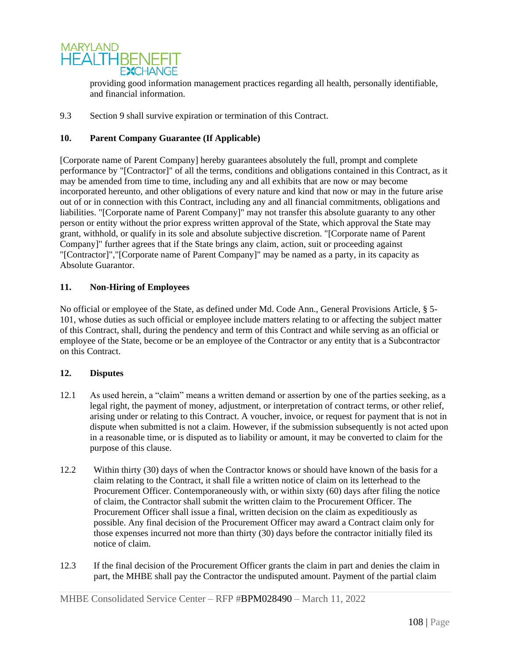

providing good information management practices regarding all health, personally identifiable, and financial information.

9.3 Section 9 shall survive expiration or termination of this Contract.

# **10. Parent Company Guarantee (If Applicable)**

[Corporate name of Parent Company] hereby guarantees absolutely the full, prompt and complete performance by "[Contractor]" of all the terms, conditions and obligations contained in this Contract, as it may be amended from time to time, including any and all exhibits that are now or may become incorporated hereunto, and other obligations of every nature and kind that now or may in the future arise out of or in connection with this Contract, including any and all financial commitments, obligations and liabilities. "[Corporate name of Parent Company]" may not transfer this absolute guaranty to any other person or entity without the prior express written approval of the State, which approval the State may grant, withhold, or qualify in its sole and absolute subjective discretion. "[Corporate name of Parent Company]" further agrees that if the State brings any claim, action, suit or proceeding against "[Contractor]","[Corporate name of Parent Company]" may be named as a party, in its capacity as Absolute Guarantor.

## **11. Non-Hiring of Employees**

No official or employee of the State, as defined under Md. Code Ann., General Provisions Article, § 5- 101, whose duties as such official or employee include matters relating to or affecting the subject matter of this Contract, shall, during the pendency and term of this Contract and while serving as an official or employee of the State, become or be an employee of the Contractor or any entity that is a Subcontractor on this Contract.

## **12. Disputes**

- 12.1 As used herein, a "claim" means a written demand or assertion by one of the parties seeking, as a legal right, the payment of money, adjustment, or interpretation of contract terms, or other relief, arising under or relating to this Contract. A voucher, invoice, or request for payment that is not in dispute when submitted is not a claim. However, if the submission subsequently is not acted upon in a reasonable time, or is disputed as to liability or amount, it may be converted to claim for the purpose of this clause.
- 12.2 Within thirty (30) days of when the Contractor knows or should have known of the basis for a claim relating to the Contract, it shall file a written notice of claim on its letterhead to the Procurement Officer. Contemporaneously with, or within sixty (60) days after filing the notice of claim, the Contractor shall submit the written claim to the Procurement Officer. The Procurement Officer shall issue a final, written decision on the claim as expeditiously as possible. Any final decision of the Procurement Officer may award a Contract claim only for those expenses incurred not more than thirty (30) days before the contractor initially filed its notice of claim.
- 12.3 If the final decision of the Procurement Officer grants the claim in part and denies the claim in part, the MHBE shall pay the Contractor the undisputed amount. Payment of the partial claim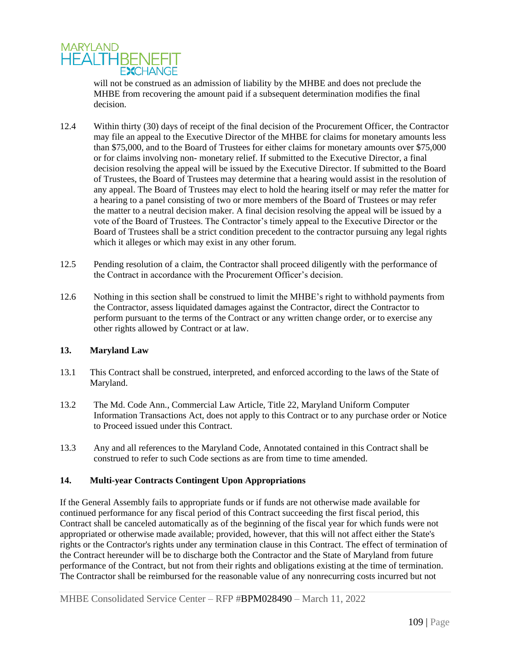

will not be construed as an admission of liability by the MHBE and does not preclude the MHBE from recovering the amount paid if a subsequent determination modifies the final decision.

- 12.4 Within thirty (30) days of receipt of the final decision of the Procurement Officer, the Contractor may file an appeal to the Executive Director of the MHBE for claims for monetary amounts less than \$75,000, and to the Board of Trustees for either claims for monetary amounts over \$75,000 or for claims involving non- monetary relief. If submitted to the Executive Director, a final decision resolving the appeal will be issued by the Executive Director. If submitted to the Board of Trustees, the Board of Trustees may determine that a hearing would assist in the resolution of any appeal. The Board of Trustees may elect to hold the hearing itself or may refer the matter for a hearing to a panel consisting of two or more members of the Board of Trustees or may refer the matter to a neutral decision maker. A final decision resolving the appeal will be issued by a vote of the Board of Trustees. The Contractor's timely appeal to the Executive Director or the Board of Trustees shall be a strict condition precedent to the contractor pursuing any legal rights which it alleges or which may exist in any other forum.
- 12.5 Pending resolution of a claim, the Contractor shall proceed diligently with the performance of the Contract in accordance with the Procurement Officer's decision.
- 12.6 Nothing in this section shall be construed to limit the MHBE's right to withhold payments from the Contractor, assess liquidated damages against the Contractor, direct the Contractor to perform pursuant to the terms of the Contract or any written change order, or to exercise any other rights allowed by Contract or at law.

## **13. Maryland Law**

- 13.1 This Contract shall be construed, interpreted, and enforced according to the laws of the State of Maryland.
- 13.2 The Md. Code Ann., Commercial Law Article, Title 22, Maryland Uniform Computer Information Transactions Act, does not apply to this Contract or to any purchase order or Notice to Proceed issued under this Contract.
- 13.3 Any and all references to the Maryland Code, Annotated contained in this Contract shall be construed to refer to such Code sections as are from time to time amended.

# **14. Multi-year Contracts Contingent Upon Appropriations**

If the General Assembly fails to appropriate funds or if funds are not otherwise made available for continued performance for any fiscal period of this Contract succeeding the first fiscal period, this Contract shall be canceled automatically as of the beginning of the fiscal year for which funds were not appropriated or otherwise made available; provided, however, that this will not affect either the State's rights or the Contractor's rights under any termination clause in this Contract. The effect of termination of the Contract hereunder will be to discharge both the Contractor and the State of Maryland from future performance of the Contract, but not from their rights and obligations existing at the time of termination. The Contractor shall be reimbursed for the reasonable value of any nonrecurring costs incurred but not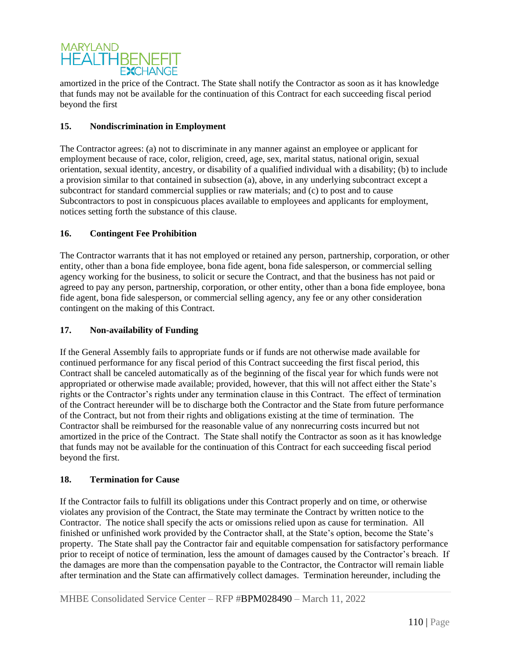

amortized in the price of the Contract. The State shall notify the Contractor as soon as it has knowledge that funds may not be available for the continuation of this Contract for each succeeding fiscal period beyond the first

# **15. Nondiscrimination in Employment**

The Contractor agrees: (a) not to discriminate in any manner against an employee or applicant for employment because of race, color, religion, creed, age, sex, marital status, national origin, sexual orientation, sexual identity, ancestry, or disability of a qualified individual with a disability; (b) to include a provision similar to that contained in subsection (a), above, in any underlying subcontract except a subcontract for standard commercial supplies or raw materials; and (c) to post and to cause Subcontractors to post in conspicuous places available to employees and applicants for employment, notices setting forth the substance of this clause.

# **16. Contingent Fee Prohibition**

The Contractor warrants that it has not employed or retained any person, partnership, corporation, or other entity, other than a bona fide employee, bona fide agent, bona fide salesperson, or commercial selling agency working for the business, to solicit or secure the Contract, and that the business has not paid or agreed to pay any person, partnership, corporation, or other entity, other than a bona fide employee, bona fide agent, bona fide salesperson, or commercial selling agency, any fee or any other consideration contingent on the making of this Contract.

## **17. Non-availability of Funding**

If the General Assembly fails to appropriate funds or if funds are not otherwise made available for continued performance for any fiscal period of this Contract succeeding the first fiscal period, this Contract shall be canceled automatically as of the beginning of the fiscal year for which funds were not appropriated or otherwise made available; provided, however, that this will not affect either the State's rights or the Contractor's rights under any termination clause in this Contract. The effect of termination of the Contract hereunder will be to discharge both the Contractor and the State from future performance of the Contract, but not from their rights and obligations existing at the time of termination. The Contractor shall be reimbursed for the reasonable value of any nonrecurring costs incurred but not amortized in the price of the Contract. The State shall notify the Contractor as soon as it has knowledge that funds may not be available for the continuation of this Contract for each succeeding fiscal period beyond the first.

## **18. Termination for Cause**

If the Contractor fails to fulfill its obligations under this Contract properly and on time, or otherwise violates any provision of the Contract, the State may terminate the Contract by written notice to the Contractor. The notice shall specify the acts or omissions relied upon as cause for termination. All finished or unfinished work provided by the Contractor shall, at the State's option, become the State's property. The State shall pay the Contractor fair and equitable compensation for satisfactory performance prior to receipt of notice of termination, less the amount of damages caused by the Contractor's breach. If the damages are more than the compensation payable to the Contractor, the Contractor will remain liable after termination and the State can affirmatively collect damages. Termination hereunder, including the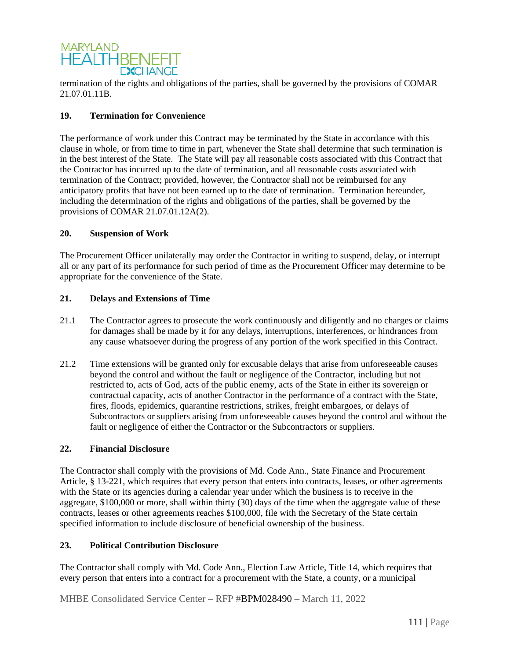

termination of the rights and obligations of the parties, shall be governed by the provisions of COMAR 21.07.01.11B.

# **19. Termination for Convenience**

The performance of work under this Contract may be terminated by the State in accordance with this clause in whole, or from time to time in part, whenever the State shall determine that such termination is in the best interest of the State. The State will pay all reasonable costs associated with this Contract that the Contractor has incurred up to the date of termination, and all reasonable costs associated with termination of the Contract; provided, however, the Contractor shall not be reimbursed for any anticipatory profits that have not been earned up to the date of termination. Termination hereunder, including the determination of the rights and obligations of the parties, shall be governed by the provisions of COMAR 21.07.01.12A(2).

## **20. Suspension of Work**

The Procurement Officer unilaterally may order the Contractor in writing to suspend, delay, or interrupt all or any part of its performance for such period of time as the Procurement Officer may determine to be appropriate for the convenience of the State.

#### **21. Delays and Extensions of Time**

- 21.1 The Contractor agrees to prosecute the work continuously and diligently and no charges or claims for damages shall be made by it for any delays, interruptions, interferences, or hindrances from any cause whatsoever during the progress of any portion of the work specified in this Contract.
- 21.2 Time extensions will be granted only for excusable delays that arise from unforeseeable causes beyond the control and without the fault or negligence of the Contractor, including but not restricted to, acts of God, acts of the public enemy, acts of the State in either its sovereign or contractual capacity, acts of another Contractor in the performance of a contract with the State, fires, floods, epidemics, quarantine restrictions, strikes, freight embargoes, or delays of Subcontractors or suppliers arising from unforeseeable causes beyond the control and without the fault or negligence of either the Contractor or the Subcontractors or suppliers.

#### **22. Financial Disclosure**

The Contractor shall comply with the provisions of Md. Code Ann., State Finance and Procurement Article, § 13-221, which requires that every person that enters into contracts, leases, or other agreements with the State or its agencies during a calendar year under which the business is to receive in the aggregate, \$100,000 or more, shall within thirty (30) days of the time when the aggregate value of these contracts, leases or other agreements reaches \$100,000, file with the Secretary of the State certain specified information to include disclosure of beneficial ownership of the business.

## **23. Political Contribution Disclosure**

The Contractor shall comply with Md. Code Ann., Election Law Article, Title 14, which requires that every person that enters into a contract for a procurement with the State, a county, or a municipal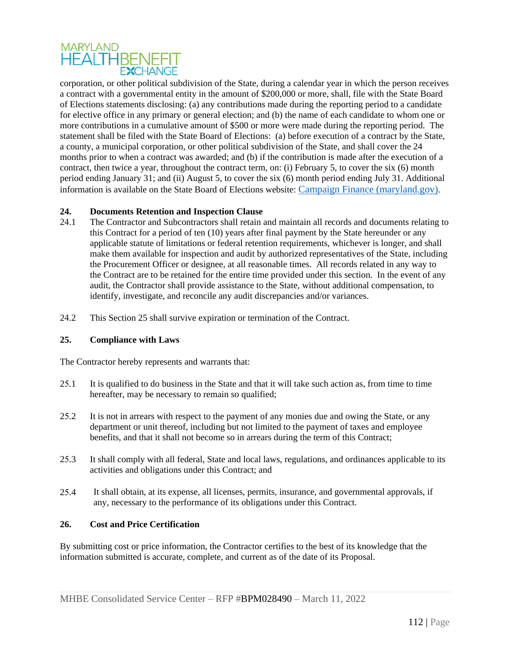# **MARYLAND HEALTHBENEFIT EXCHANGE**

corporation, or other political subdivision of the State, during a calendar year in which the person receives a contract with a governmental entity in the amount of \$200,000 or more, shall, file with the State Board of Elections statements disclosing: (a) any contributions made during the reporting period to a candidate for elective office in any primary or general election; and (b) the name of each candidate to whom one or more contributions in a cumulative amount of \$500 or more were made during the reporting period. The statement shall be filed with the State Board of Elections: (a) before execution of a contract by the State, a county, a municipal corporation, or other political subdivision of the State, and shall cover the 24 months prior to when a contract was awarded; and (b) if the contribution is made after the execution of a contract, then twice a year, throughout the contract term, on: (i) February 5, to cover the six (6) month period ending January 31; and (ii) August 5, to cover the six (6) month period ending July 31. Additional information is available on the State Board of Elections website: [Campaign Finance \(maryland.gov\)](https://elections.maryland.gov/campaign_finance/index.html).

# **24. Documents Retention and Inspection Clause**

- 24.1 The Contractor and Subcontractors shall retain and maintain all records and documents relating to this Contract for a period of ten (10) years after final payment by the State hereunder or any applicable statute of limitations or federal retention requirements, whichever is longer, and shall make them available for inspection and audit by authorized representatives of the State, including the Procurement Officer or designee, at all reasonable times. All records related in any way to the Contract are to be retained for the entire time provided under this section. In the event of any audit, the Contractor shall provide assistance to the State, without additional compensation, to identify, investigate, and reconcile any audit discrepancies and/or variances.
- 24.2 This Section 25 shall survive expiration or termination of the Contract.

# **25. Compliance with Laws**

The Contractor hereby represents and warrants that:

- 25.1 It is qualified to do business in the State and that it will take such action as, from time to time hereafter, may be necessary to remain so qualified;
- 25.2 It is not in arrears with respect to the payment of any monies due and owing the State, or any department or unit thereof, including but not limited to the payment of taxes and employee benefits, and that it shall not become so in arrears during the term of this Contract;
- 25.3 It shall comply with all federal, State and local laws, regulations, and ordinances applicable to its activities and obligations under this Contract; and
- 25.4 It shall obtain, at its expense, all licenses, permits, insurance, and governmental approvals, if any, necessary to the performance of its obligations under this Contract.

## **26. Cost and Price Certification**

By submitting cost or price information, the Contractor certifies to the best of its knowledge that the information submitted is accurate, complete, and current as of the date of its Proposal.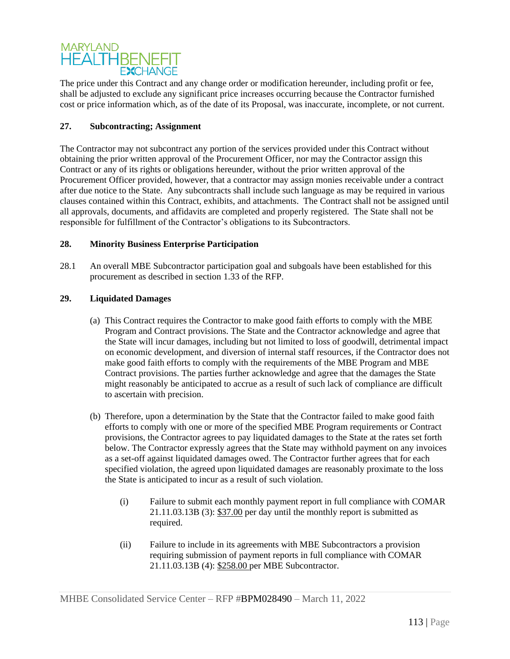# **MARYLAND HEALTHBENEFIT FXCHANGE**

The price under this Contract and any change order or modification hereunder, including profit or fee, shall be adjusted to exclude any significant price increases occurring because the Contractor furnished cost or price information which, as of the date of its Proposal, was inaccurate, incomplete, or not current.

# **27. Subcontracting; Assignment**

The Contractor may not subcontract any portion of the services provided under this Contract without obtaining the prior written approval of the Procurement Officer, nor may the Contractor assign this Contract or any of its rights or obligations hereunder, without the prior written approval of the Procurement Officer provided, however, that a contractor may assign monies receivable under a contract after due notice to the State. Any subcontracts shall include such language as may be required in various clauses contained within this Contract, exhibits, and attachments. The Contract shall not be assigned until all approvals, documents, and affidavits are completed and properly registered. The State shall not be responsible for fulfillment of the Contractor's obligations to its Subcontractors.

# **28. Minority Business Enterprise Participation**

28.1 An overall MBE Subcontractor participation goal and subgoals have been established for this procurement as described in section 1.33 of the RFP.

# **29. Liquidated Damages**

- (a) This Contract requires the Contractor to make good faith efforts to comply with the MBE Program and Contract provisions. The State and the Contractor acknowledge and agree that the State will incur damages, including but not limited to loss of goodwill, detrimental impact on economic development, and diversion of internal staff resources, if the Contractor does not make good faith efforts to comply with the requirements of the MBE Program and MBE Contract provisions. The parties further acknowledge and agree that the damages the State might reasonably be anticipated to accrue as a result of such lack of compliance are difficult to ascertain with precision.
- (b) Therefore, upon a determination by the State that the Contractor failed to make good faith efforts to comply with one or more of the specified MBE Program requirements or Contract provisions, the Contractor agrees to pay liquidated damages to the State at the rates set forth below. The Contractor expressly agrees that the State may withhold payment on any invoices as a set-off against liquidated damages owed. The Contractor further agrees that for each specified violation, the agreed upon liquidated damages are reasonably proximate to the loss the State is anticipated to incur as a result of such violation.
	- (i) Failure to submit each monthly payment report in full compliance with COMAR 21.11.03.13B (3): \$37.00 per day until the monthly report is submitted as required.
	- (ii) Failure to include in its agreements with MBE Subcontractors a provision requiring submission of payment reports in full compliance with COMAR 21.11.03.13B (4): \$258.00 per MBE Subcontractor.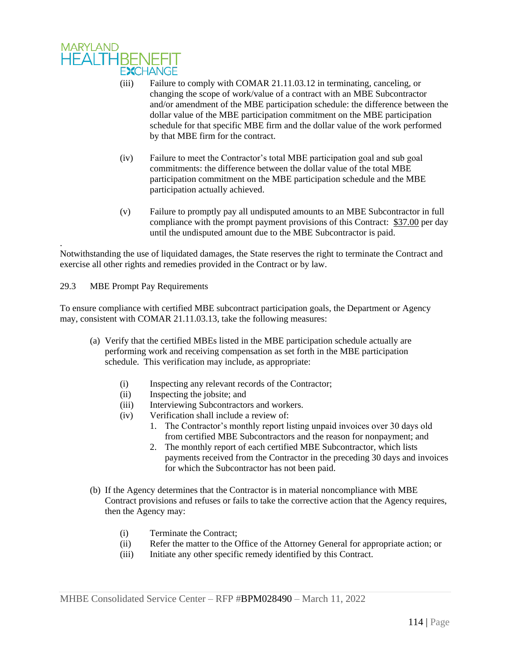

- (iii) Failure to comply with COMAR 21.11.03.12 in terminating, canceling, or changing the scope of work/value of a contract with an MBE Subcontractor and/or amendment of the MBE participation schedule: the difference between the dollar value of the MBE participation commitment on the MBE participation schedule for that specific MBE firm and the dollar value of the work performed by that MBE firm for the contract.
- (iv) Failure to meet the Contractor's total MBE participation goal and sub goal commitments: the difference between the dollar value of the total MBE participation commitment on the MBE participation schedule and the MBE participation actually achieved.
- (v) Failure to promptly pay all undisputed amounts to an MBE Subcontractor in full compliance with the prompt payment provisions of this Contract: \$37.00 per day until the undisputed amount due to the MBE Subcontractor is paid.

Notwithstanding the use of liquidated damages, the State reserves the right to terminate the Contract and exercise all other rights and remedies provided in the Contract or by law.

29.3 MBE Prompt Pay Requirements

.

To ensure compliance with certified MBE subcontract participation goals, the Department or Agency may, consistent with COMAR 21.11.03.13, take the following measures:

- (a) Verify that the certified MBEs listed in the MBE participation schedule actually are performing work and receiving compensation as set forth in the MBE participation schedule. This verification may include, as appropriate:
	- (i) Inspecting any relevant records of the Contractor;
	- (ii) Inspecting the jobsite; and
	- (iii) Interviewing Subcontractors and workers.
	- (iv) Verification shall include a review of:
		- 1. The Contractor's monthly report listing unpaid invoices over 30 days old from certified MBE Subcontractors and the reason for nonpayment; and
		- 2. The monthly report of each certified MBE Subcontractor, which lists payments received from the Contractor in the preceding 30 days and invoices for which the Subcontractor has not been paid.
- (b) If the Agency determines that the Contractor is in material noncompliance with MBE Contract provisions and refuses or fails to take the corrective action that the Agency requires, then the Agency may:
	- (i) Terminate the Contract;
	- (ii) Refer the matter to the Office of the Attorney General for appropriate action; or
	- (iii) Initiate any other specific remedy identified by this Contract.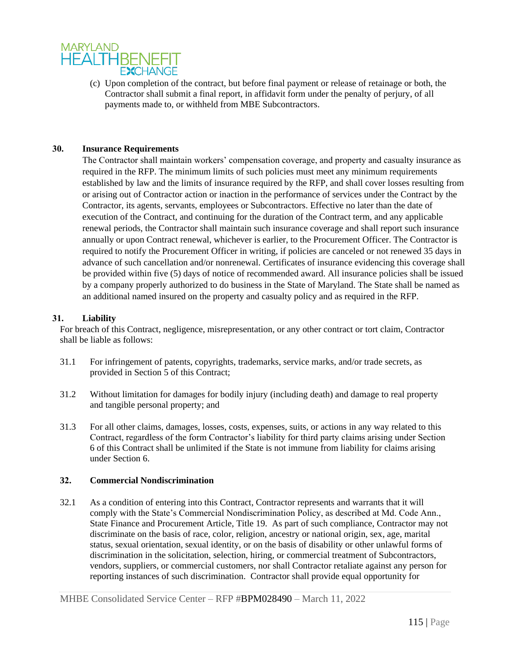

(c) Upon completion of the contract, but before final payment or release of retainage or both, the Contractor shall submit a final report, in affidavit form under the penalty of perjury, of all payments made to, or withheld from MBE Subcontractors.

## **30. Insurance Requirements**

The Contractor shall maintain workers' compensation coverage, and property and casualty insurance as required in the RFP. The minimum limits of such policies must meet any minimum requirements established by law and the limits of insurance required by the RFP, and shall cover losses resulting from or arising out of Contractor action or inaction in the performance of services under the Contract by the Contractor, its agents, servants, employees or Subcontractors. Effective no later than the date of execution of the Contract, and continuing for the duration of the Contract term, and any applicable renewal periods, the Contractor shall maintain such insurance coverage and shall report such insurance annually or upon Contract renewal, whichever is earlier, to the Procurement Officer. The Contractor is required to notify the Procurement Officer in writing, if policies are canceled or not renewed 35 days in advance of such cancellation and/or nonrenewal. Certificates of insurance evidencing this coverage shall be provided within five (5) days of notice of recommended award. All insurance policies shall be issued by a company properly authorized to do business in the State of Maryland. The State shall be named as an additional named insured on the property and casualty policy and as required in the RFP.

## **31. Liability**

For breach of this Contract, negligence, misrepresentation, or any other contract or tort claim, Contractor shall be liable as follows:

- 31.1 For infringement of patents, copyrights, trademarks, service marks, and/or trade secrets, as provided in Section 5 of this Contract;
- 31.2 Without limitation for damages for bodily injury (including death) and damage to real property and tangible personal property; and
- 31.3 For all other claims, damages, losses, costs, expenses, suits, or actions in any way related to this Contract, regardless of the form Contractor's liability for third party claims arising under Section 6 of this Contract shall be unlimited if the State is not immune from liability for claims arising under Section 6.

# **32. Commercial Nondiscrimination**

32.1 As a condition of entering into this Contract, Contractor represents and warrants that it will comply with the State's Commercial Nondiscrimination Policy, as described at Md. Code Ann., State Finance and Procurement Article, Title 19. As part of such compliance, Contractor may not discriminate on the basis of race, color, religion, ancestry or national origin, sex, age, marital status, sexual orientation, sexual identity, or on the basis of disability or other unlawful forms of discrimination in the solicitation, selection, hiring, or commercial treatment of Subcontractors, vendors, suppliers, or commercial customers, nor shall Contractor retaliate against any person for reporting instances of such discrimination. Contractor shall provide equal opportunity for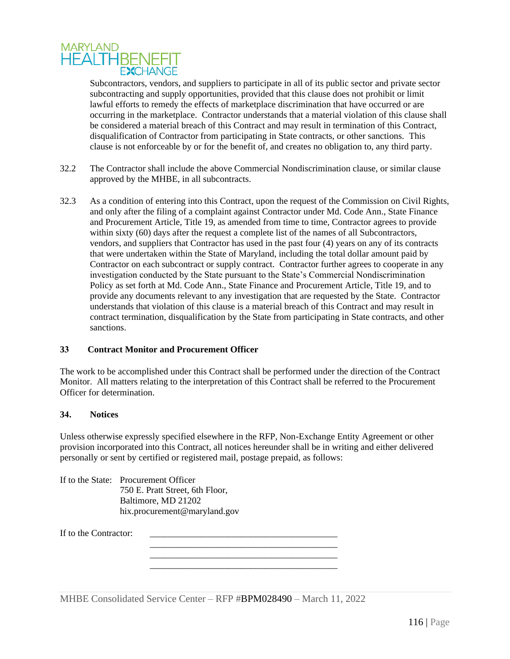

Subcontractors, vendors, and suppliers to participate in all of its public sector and private sector subcontracting and supply opportunities, provided that this clause does not prohibit or limit lawful efforts to remedy the effects of marketplace discrimination that have occurred or are occurring in the marketplace. Contractor understands that a material violation of this clause shall be considered a material breach of this Contract and may result in termination of this Contract, disqualification of Contractor from participating in State contracts, or other sanctions. This clause is not enforceable by or for the benefit of, and creates no obligation to, any third party.

- 32.2 The Contractor shall include the above Commercial Nondiscrimination clause, or similar clause approved by the MHBE, in all subcontracts.
- 32.3 As a condition of entering into this Contract, upon the request of the Commission on Civil Rights, and only after the filing of a complaint against Contractor under Md. Code Ann., State Finance and Procurement Article, Title 19, as amended from time to time, Contractor agrees to provide within sixty (60) days after the request a complete list of the names of all Subcontractors, vendors, and suppliers that Contractor has used in the past four (4) years on any of its contracts that were undertaken within the State of Maryland, including the total dollar amount paid by Contractor on each subcontract or supply contract. Contractor further agrees to cooperate in any investigation conducted by the State pursuant to the State's Commercial Nondiscrimination Policy as set forth at Md. Code Ann., State Finance and Procurement Article, Title 19, and to provide any documents relevant to any investigation that are requested by the State. Contractor understands that violation of this clause is a material breach of this Contract and may result in contract termination, disqualification by the State from participating in State contracts, and other sanctions.

#### **33 Contract Monitor and Procurement Officer**

The work to be accomplished under this Contract shall be performed under the direction of the Contract Monitor. All matters relating to the interpretation of this Contract shall be referred to the Procurement Officer for determination.

#### **34. Notices**

Unless otherwise expressly specified elsewhere in the RFP, Non-Exchange Entity Agreement or other provision incorporated into this Contract, all notices hereunder shall be in writing and either delivered personally or sent by certified or registered mail, postage prepaid, as follows:

> \_\_\_\_\_\_\_\_\_\_\_\_\_\_\_\_\_\_\_\_\_\_\_\_\_\_\_\_\_\_\_\_\_\_\_\_\_\_\_\_\_ \_\_\_\_\_\_\_\_\_\_\_\_\_\_\_\_\_\_\_\_\_\_\_\_\_\_\_\_\_\_\_\_\_\_\_\_\_\_\_\_\_

If to the State: Procurement Officer 750 E. Pratt Street, 6th Floor, Baltimore, MD 21202 hix.procurement@maryland.gov

If to the Contractor: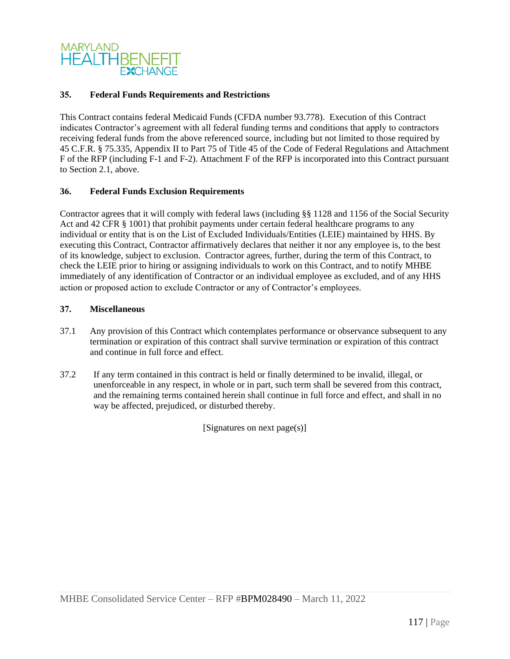

## **35. Federal Funds Requirements and Restrictions**

This Contract contains federal Medicaid Funds (CFDA number 93.778). Execution of this Contract indicates Contractor's agreement with all federal funding terms and conditions that apply to contractors receiving federal funds from the above referenced source, including but not limited to those required by 45 C.F.R. § 75.335, Appendix II to Part 75 of Title 45 of the Code of Federal Regulations and Attachment F of the RFP (including F-1 and F-2). Attachment F of the RFP is incorporated into this Contract pursuant to Section 2.1, above.

#### **36. Federal Funds Exclusion Requirements**

Contractor agrees that it will comply with federal laws (including §§ 1128 and 1156 of the Social Security Act and 42 CFR § 1001) that prohibit payments under certain federal healthcare programs to any individual or entity that is on the List of Excluded Individuals/Entities (LEIE) maintained by HHS. By executing this Contract, Contractor affirmatively declares that neither it nor any employee is, to the best of its knowledge, subject to exclusion. Contractor agrees, further, during the term of this Contract, to check the LEIE prior to hiring or assigning individuals to work on this Contract, and to notify MHBE immediately of any identification of Contractor or an individual employee as excluded, and of any HHS action or proposed action to exclude Contractor or any of Contractor's employees.

#### **37. Miscellaneous**

- 37.1 Any provision of this Contract which contemplates performance or observance subsequent to any termination or expiration of this contract shall survive termination or expiration of this contract and continue in full force and effect.
- 37.2 If any term contained in this contract is held or finally determined to be invalid, illegal, or unenforceable in any respect, in whole or in part, such term shall be severed from this contract, and the remaining terms contained herein shall continue in full force and effect, and shall in no way be affected, prejudiced, or disturbed thereby.

[Signatures on next page(s)]